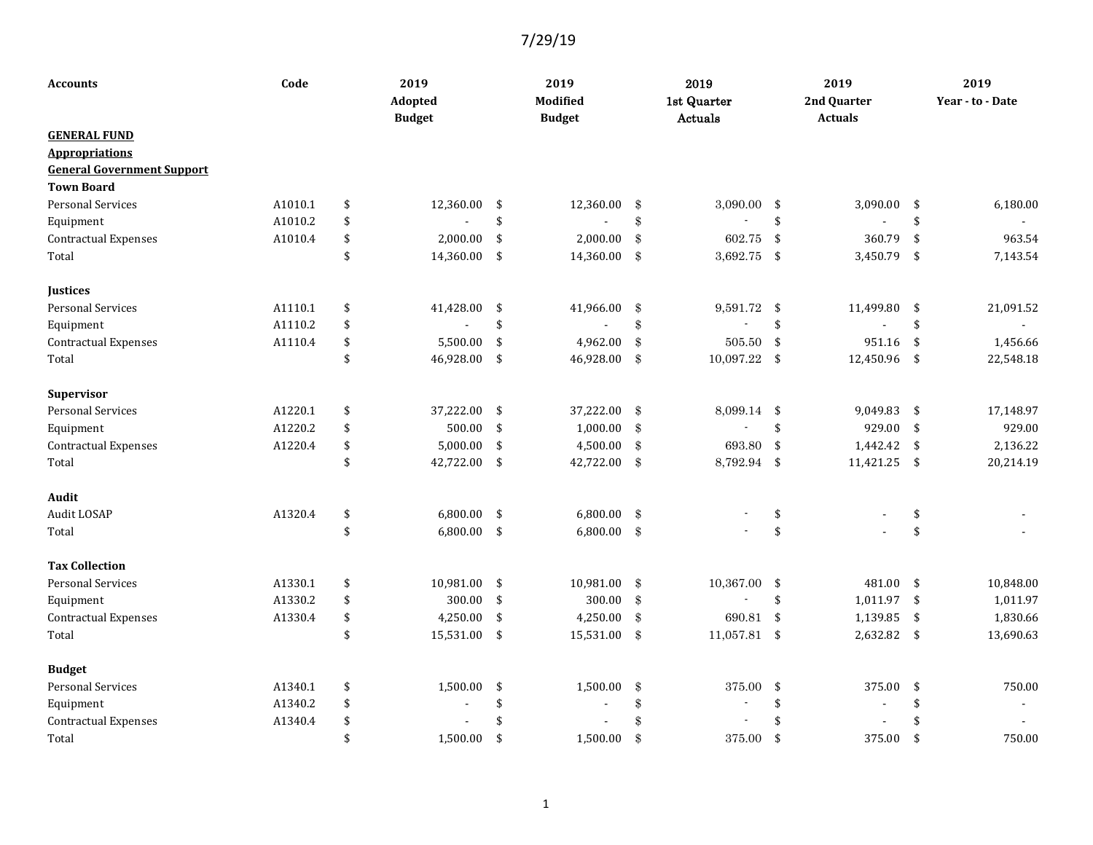| <b>Accounts</b>                   | Code    |    | 2019<br>Adopted<br><b>Budget</b> |    | 2019<br><b>Modified</b><br><b>Budget</b> | 2019<br>1st Quarter<br>Actuals |                | 2019<br>2nd Quarter<br><b>Actuals</b> |                          | 2019<br>Year - to - Date |           |
|-----------------------------------|---------|----|----------------------------------|----|------------------------------------------|--------------------------------|----------------|---------------------------------------|--------------------------|--------------------------|-----------|
| <b>GENERAL FUND</b>               |         |    |                                  |    |                                          |                                |                |                                       |                          |                          |           |
| <b>Appropriations</b>             |         |    |                                  |    |                                          |                                |                |                                       |                          |                          |           |
| <b>General Government Support</b> |         |    |                                  |    |                                          |                                |                |                                       |                          |                          |           |
| <b>Town Board</b>                 |         |    |                                  |    |                                          |                                |                |                                       |                          |                          |           |
| <b>Personal Services</b>          | A1010.1 | \$ | 12,360.00                        | \$ | 12,360.00                                | \$                             | 3,090.00       | \$                                    | 3,090.00                 | \$                       | 6,180.00  |
| Equipment                         | A1010.2 | \$ |                                  | \$ |                                          | \$                             |                | \$                                    |                          | \$                       |           |
| <b>Contractual Expenses</b>       | A1010.4 | \$ | 2,000.00                         | \$ | 2,000.00                                 | $\mathbf{\$}$                  | 602.75         | $\mathbf{\hat{S}}$                    | 360.79                   | \$                       | 963.54    |
| Total                             |         | \$ | 14,360.00                        | \$ | 14,360.00                                | -\$                            | 3,692.75       | $\sqrt{5}$                            | 3,450.79                 | \$                       | 7,143.54  |
| <b>Justices</b>                   |         |    |                                  |    |                                          |                                |                |                                       |                          |                          |           |
| <b>Personal Services</b>          | A1110.1 | \$ | 41,428.00                        | \$ | 41,966.00                                | $\$\$                          | 9,591.72       | \$                                    | 11,499.80                | \$                       | 21,091.52 |
| Equipment                         | A1110.2 | \$ |                                  | \$ | ÷.                                       | \$                             | $\overline{a}$ | \$                                    |                          | \$                       |           |
| <b>Contractual Expenses</b>       | A1110.4 | \$ | 5,500.00                         | \$ | 4,962.00                                 | $\$\$                          | 505.50         | $\mathbf{\hat{S}}$                    | 951.16                   | \$                       | 1,456.66  |
| Total                             |         | \$ | 46,928.00                        | \$ | 46,928.00                                | $\frac{3}{2}$                  | 10,097.22      | \$                                    | 12,450.96                | \$                       | 22,548.18 |
| Supervisor                        |         |    |                                  |    |                                          |                                |                |                                       |                          |                          |           |
| <b>Personal Services</b>          | A1220.1 | \$ | 37,222.00                        | \$ | 37,222.00                                | \$                             | 8,099.14 \$    |                                       | 9,049.83                 | \$                       | 17,148.97 |
| Equipment                         | A1220.2 | \$ | 500.00                           | \$ | 1,000.00                                 | $\mathbf{\$}$                  |                | \$                                    | 929.00                   | \$                       | 929.00    |
| <b>Contractual Expenses</b>       | A1220.4 | \$ | 5,000.00                         | \$ | 4,500.00                                 | \$                             | 693.80         | \$                                    | 1,442.42                 | \$                       | 2,136.22  |
| Total                             |         | \$ | 42,722.00                        | \$ | 42,722.00 \$                             |                                | 8,792.94 \$    |                                       | 11,421.25                | \$                       | 20,214.19 |
| Audit                             |         |    |                                  |    |                                          |                                |                |                                       |                          |                          |           |
| Audit LOSAP                       | A1320.4 | \$ | 6,800.00                         | \$ | 6,800.00                                 | -\$                            |                | \$                                    |                          | \$                       |           |
| Total                             |         | \$ | $6,800.00$ \$                    |    | $6,800.00$ \$                            |                                |                | \$                                    |                          | \$                       |           |
| <b>Tax Collection</b>             |         |    |                                  |    |                                          |                                |                |                                       |                          |                          |           |
| <b>Personal Services</b>          | A1330.1 | \$ | 10,981.00                        | \$ | 10,981.00                                | \$                             | 10,367.00 \$   |                                       | 481.00                   | $\boldsymbol{\$}$        | 10,848.00 |
| Equipment                         | A1330.2 | \$ | 300.00                           | \$ | 300.00                                   | $\sqrt[3]{3}$                  |                | \$                                    | 1,011.97                 | \$                       | 1,011.97  |
| <b>Contractual Expenses</b>       | A1330.4 | \$ | 4,250.00                         | \$ | 4,250.00                                 | $\frac{3}{2}$                  | 690.81         | \$                                    | 1,139.85                 | \$                       | 1,830.66  |
| Total                             |         | \$ | 15,531.00                        | \$ | 15,531.00                                | \$                             | 11,057.81 \$   |                                       | 2,632.82                 | \$                       | 13,690.63 |
| <b>Budget</b>                     |         |    |                                  |    |                                          |                                |                |                                       |                          |                          |           |
| <b>Personal Services</b>          | A1340.1 | \$ | 1,500.00                         | \$ | 1,500.00                                 | $\$\$                          | 375.00         | \$                                    | 375.00                   | \$                       | 750.00    |
| Equipment                         | A1340.2 | \$ |                                  | \$ |                                          | \$                             |                | \$                                    | $\overline{\phantom{a}}$ | \$                       |           |
| <b>Contractual Expenses</b>       | A1340.4 | \$ |                                  | \$ |                                          | \$                             |                | \$                                    |                          | \$                       |           |
| Total                             |         | \$ | 1,500.00                         | \$ | 1,500.00                                 | \$                             | 375.00         | $\mathbf{\hat{S}}$                    | 375.00                   | \$                       | 750.00    |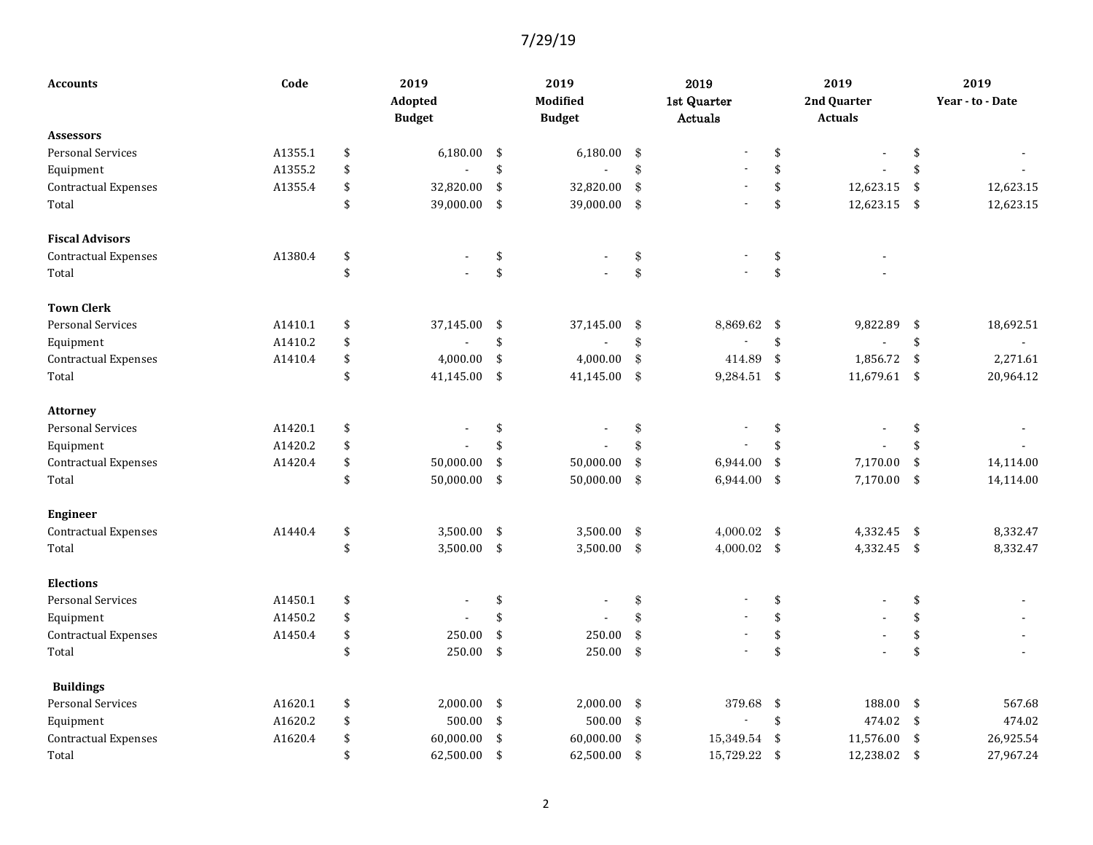| <b>Accounts</b>             | Code    |    |               |               | 2019<br><b>Modified</b> |               | 2019<br>1st Quarter | 2019<br>2nd Quarter |          | 2019<br>Year - to - Date |
|-----------------------------|---------|----|---------------|---------------|-------------------------|---------------|---------------------|---------------------|----------|--------------------------|
| <b>Assessors</b>            |         |    | <b>Budget</b> |               | <b>Budget</b>           |               | Actuals             | <b>Actuals</b>      |          |                          |
| <b>Personal Services</b>    | A1355.1 | \$ | 6,180.00      |               | 6,180.00                |               |                     |                     |          |                          |
|                             |         |    |               | \$            |                         | $\frac{3}{2}$ |                     | \$                  | \$<br>\$ |                          |
| Equipment                   | A1355.2 | \$ |               | \$            |                         | \$            |                     | \$                  |          |                          |
| <b>Contractual Expenses</b> | A1355.4 | \$ | 32,820.00     | \$            | 32,820.00               | $\pmb{\$}$    |                     | \$<br>12,623.15     | \$       | 12,623.15                |
| Total                       |         | \$ | 39,000.00     | $\sqrt[6]{3}$ | 39,000.00               | $\$\$         |                     | \$<br>12,623.15     | \$       | 12,623.15                |
| <b>Fiscal Advisors</b>      |         |    |               |               |                         |               |                     |                     |          |                          |
| <b>Contractual Expenses</b> | A1380.4 | \$ |               | \$            |                         | \$            |                     | \$                  |          |                          |
| Total                       |         | \$ |               | \$            |                         | \$            |                     | \$                  |          |                          |
| <b>Town Clerk</b>           |         |    |               |               |                         |               |                     |                     |          |                          |
| <b>Personal Services</b>    | A1410.1 | \$ | 37,145.00     | \$            | 37,145.00               | $\frac{3}{2}$ | 8,869.62            | \$<br>9,822.89      | \$       | 18,692.51                |
| Equipment                   | A1410.2 | \$ |               | \$            |                         | \$            |                     | \$                  | \$       |                          |
| Contractual Expenses        | A1410.4 | \$ | 4,000.00      | \$            | 4,000.00                | \$            | 414.89              | \$<br>1,856.72      | \$       | 2,271.61                 |
| Total                       |         | \$ | 41,145.00     | \$            | 41,145.00               | $\sqrt[3]{3}$ | 9,284.51            | \$<br>11,679.61     | \$       | 20,964.12                |
| <b>Attorney</b>             |         |    |               |               |                         |               |                     |                     |          |                          |
| <b>Personal Services</b>    | A1420.1 | \$ |               | \$            |                         | \$            |                     | \$                  | \$       |                          |
| Equipment                   | A1420.2 | \$ |               | \$            |                         | \$            |                     | \$                  | \$.      |                          |
| <b>Contractual Expenses</b> | A1420.4 | \$ | 50,000.00     | \$            | 50,000.00               | \$            | 6,944.00            | \$<br>7,170.00      | \$       | 14,114.00                |
| Total                       |         | \$ | 50,000.00     | \$            | 50,000.00               | $\frac{3}{2}$ | 6,944.00            | \$<br>7,170.00      | \$       | 14,114.00                |
| <b>Engineer</b>             |         |    |               |               |                         |               |                     |                     |          |                          |
| <b>Contractual Expenses</b> | A1440.4 | \$ | 3,500.00 \$   |               | 3,500.00                | $\frac{3}{2}$ | $4,000.02$ \$       | 4,332.45            | \$       | 8,332.47                 |
| Total                       |         | \$ | 3,500.00 \$   |               | 3,500.00                | $\$\$         | $4,000.02$ \$       | 4,332.45            | \$       | 8,332.47                 |
| <b>Elections</b>            |         |    |               |               |                         |               |                     |                     |          |                          |
| <b>Personal Services</b>    | A1450.1 | \$ |               | \$            |                         | \$            |                     | \$                  | \$       |                          |
| Equipment                   | A1450.2 | \$ |               | \$            |                         | \$            |                     | \$                  | \$       |                          |
| <b>Contractual Expenses</b> | A1450.4 | \$ | 250.00        | \$            | 250.00                  | \$            |                     | \$                  | \$       |                          |
| Total                       |         | \$ | 250.00        | $\sqrt{5}$    | 250.00                  | $\mathcal{S}$ |                     | \$                  | \$       |                          |
| <b>Buildings</b>            |         |    |               |               |                         |               |                     |                     |          |                          |
| <b>Personal Services</b>    | A1620.1 | \$ | 2,000.00      | -\$           | 2,000.00                | $\$\$         | 379.68              | \$<br>188.00        | \$       | 567.68                   |
| Equipment                   | A1620.2 | \$ | 500.00        | \$            | 500.00                  | $\mathcal{S}$ |                     | \$<br>474.02        | \$       | 474.02                   |
| <b>Contractual Expenses</b> | A1620.4 | \$ | 60,000.00     | \$            | 60,000.00               | \$            | 15,349.54           | \$<br>11,576.00     | \$       | 26,925.54                |
| Total                       |         | \$ | 62,500.00     | \$            | 62,500.00               | $\mathbf{\$}$ | 15,729.22           | \$<br>12,238.02     | \$       | 27,967.24                |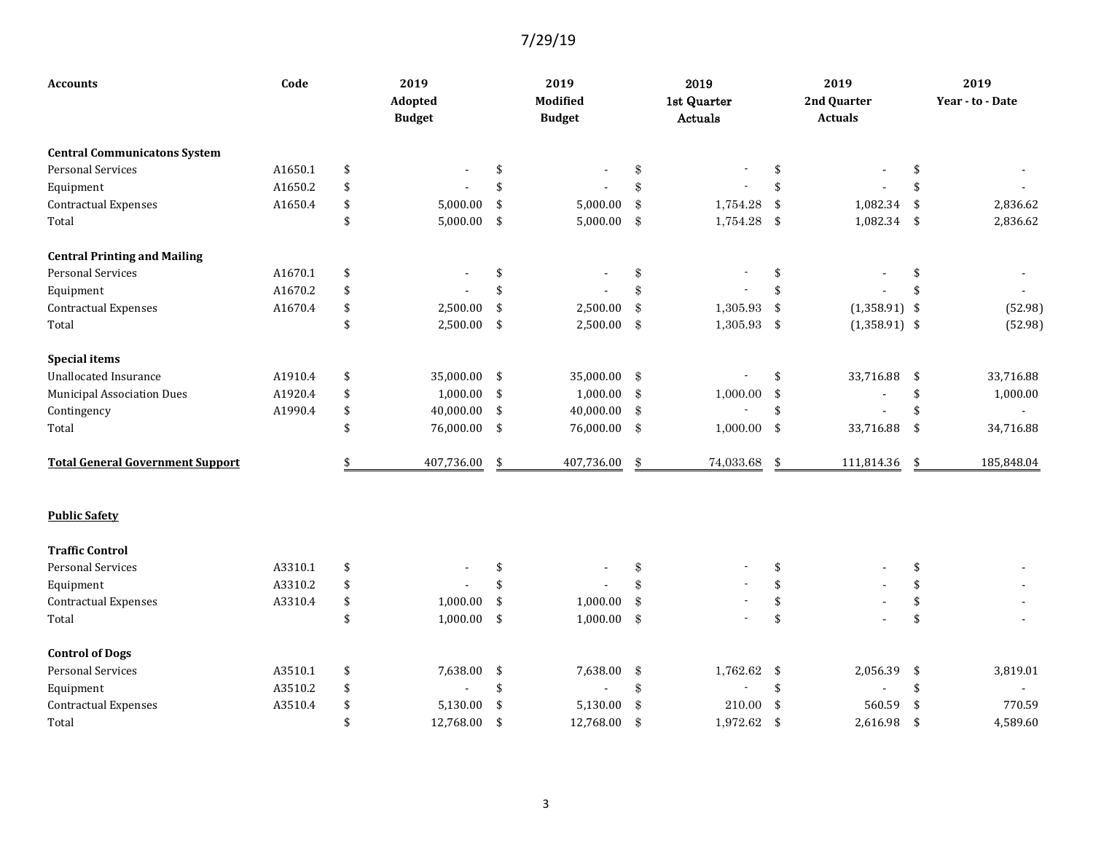| <b>Accounts</b>                         | Code    | 2019<br>Adopted<br><b>Budget</b> |     | 2019<br>Modified<br><b>Budget</b> |                   | 2019<br>1st Quarter<br>Actuals |                    | 2019<br>2nd Quarter<br><b>Actuals</b> |     | 2019<br>Year - to - Date |
|-----------------------------------------|---------|----------------------------------|-----|-----------------------------------|-------------------|--------------------------------|--------------------|---------------------------------------|-----|--------------------------|
| <b>Central Communicatons System</b>     |         |                                  |     |                                   |                   |                                |                    |                                       |     |                          |
| <b>Personal Services</b>                | A1650.1 | \$                               | \$  |                                   | \$                |                                | \$                 |                                       | \$  |                          |
| Equipment                               | A1650.2 | \$                               | \$  |                                   | \$                |                                | \$                 |                                       | \$  |                          |
| <b>Contractual Expenses</b>             | A1650.4 | \$<br>5,000.00                   | \$  | 5,000.00                          | $\$\$             | 1,754.28                       | \$                 | 1,082.34                              | \$  | 2,836.62                 |
| Total                                   |         | \$<br>5,000.00                   | \$  | 5,000.00                          | \$                | 1,754.28                       | $\mathbf{\hat{S}}$ | 1,082.34                              | -\$ | 2,836.62                 |
| <b>Central Printing and Mailing</b>     |         |                                  |     |                                   |                   |                                |                    |                                       |     |                          |
| <b>Personal Services</b>                | A1670.1 | \$                               | \$  |                                   | $\,$              |                                | \$                 |                                       | \$  |                          |
| Equipment                               | A1670.2 | \$                               | \$  |                                   | \$                |                                | \$                 |                                       | \$  |                          |
| <b>Contractual Expenses</b>             | A1670.4 | \$<br>2,500.00                   | \$  | 2,500.00                          | $\mathbf{\$}$     | 1,305.93                       | \$                 | $(1,358.91)$ \$                       |     | (52.98)                  |
| Total                                   |         | \$<br>2,500.00                   | \$  | 2,500.00                          | $\$\$             | $1,305.93$ \$                  |                    | $(1,358.91)$ \$                       |     | (52.98)                  |
| <b>Special items</b>                    |         |                                  |     |                                   |                   |                                |                    |                                       |     |                          |
| <b>Unallocated Insurance</b>            | A1910.4 | \$<br>35,000.00                  | -\$ | 35,000.00                         | \$                |                                | \$                 | 33,716.88                             | -\$ | 33,716.88                |
| <b>Municipal Association Dues</b>       | A1920.4 | \$<br>1,000.00                   | \$  | 1,000.00                          | $\frac{3}{2}$     | 1,000.00                       | \$                 |                                       | \$  | 1,000.00                 |
| Contingency                             | A1990.4 | \$<br>40,000.00                  | \$  | 40,000.00                         | $\boldsymbol{\$}$ |                                | $\mathbf{\hat{S}}$ |                                       | \$  |                          |
| Total                                   |         | \$<br>76,000.00 \$               |     | 76,000.00                         | \$                | $1,000.00$ \$                  |                    | 33,716.88                             | \$  | 34,716.88                |
| <b>Total General Government Support</b> |         | \$<br>407,736.00                 | \$  | 407,736.00                        | \$                | 74,033.68                      | \$                 | 111,814.36                            | \$  | 185,848.04               |
| <b>Public Safety</b>                    |         |                                  |     |                                   |                   |                                |                    |                                       |     |                          |
| <b>Traffic Control</b>                  |         |                                  |     |                                   |                   |                                |                    |                                       |     |                          |
| <b>Personal Services</b>                | A3310.1 | \$                               | \$  |                                   | \$                |                                | \$                 |                                       | \$  |                          |
| Equipment                               | A3310.2 | \$                               | \$  |                                   | \$                |                                | \$                 |                                       | \$  |                          |
| <b>Contractual Expenses</b>             | A3310.4 | \$<br>1,000.00                   | \$  | 1,000.00                          | $\mathbf{\$}$     |                                | \$                 |                                       | \$  |                          |
| Total                                   |         | \$<br>1,000.00                   | \$  | 1,000.00                          | \$                |                                | \$                 |                                       | \$  |                          |
| <b>Control of Dogs</b>                  |         |                                  |     |                                   |                   |                                |                    |                                       |     |                          |
| <b>Personal Services</b>                | A3510.1 | \$<br>7,638.00                   | \$  | 7,638.00                          | $\,$              | 1,762.62                       | \$                 | 2,056.39                              | \$  | 3,819.01                 |
| Equipment                               | A3510.2 | \$                               | \$  |                                   | $\$\$             |                                | \$                 |                                       | \$  |                          |
| <b>Contractual Expenses</b>             | A3510.4 | \$<br>5,130.00                   | \$  | 5,130.00                          | $\mathbf{\$}$     | 210.00                         | \$                 | 560.59                                | \$  | 770.59                   |
| Total                                   |         | \$<br>12,768.00                  | \$  | 12,768.00                         | $\mathbf{\$}$     | 1,972.62 \$                    |                    | 2,616.98                              | \$  | 4,589.60                 |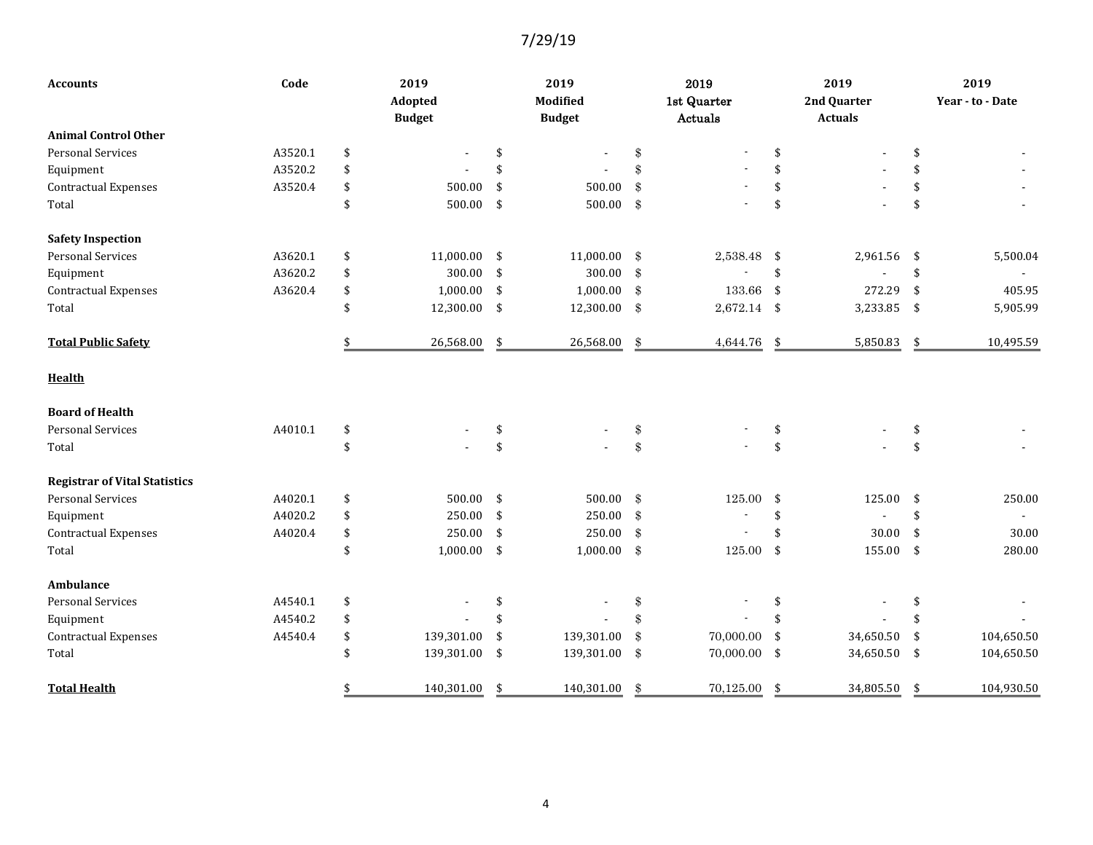| Code<br>Accounts                     |         | 2019<br>Adopted<br><b>Budget</b> |            | 2019<br>Modified<br><b>Budget</b> |                          | 2019<br>1st Quarter<br>Actuals | 2019<br>2nd Quarter<br><b>Actuals</b> | 2019<br>Year - to - Date       |                  |
|--------------------------------------|---------|----------------------------------|------------|-----------------------------------|--------------------------|--------------------------------|---------------------------------------|--------------------------------|------------------|
| <b>Animal Control Other</b>          |         |                                  |            |                                   |                          |                                |                                       |                                |                  |
| <b>Personal Services</b>             | A3520.1 | \$                               |            | \$                                | $\overline{\phantom{a}}$ | $\,$                           |                                       | \$                             | \$               |
| Equipment                            | A3520.2 | \$                               |            | \$                                |                          | \$                             |                                       | \$                             | \$               |
| <b>Contractual Expenses</b>          | A3520.4 | \$                               | 500.00     | \$                                | 500.00                   | \$                             |                                       | \$                             | \$               |
| Total                                |         | \$                               | 500.00     | \$                                | 500.00                   | \$                             |                                       | \$                             | \$               |
| <b>Safety Inspection</b>             |         |                                  |            |                                   |                          |                                |                                       |                                |                  |
| <b>Personal Services</b>             | A3620.1 | \$                               | 11,000.00  | \$                                | 11,000.00                | $\boldsymbol{\mathcal{S}}$     | 2,538.48 \$                           | 2,961.56                       | \$<br>5,500.04   |
| Equipment                            | A3620.2 | \$                               | 300.00     | \$                                | 300.00                   | $\$\$                          |                                       | \$                             | \$               |
| <b>Contractual Expenses</b>          | A3620.4 | \$                               | 1,000.00   | \$                                | 1,000.00                 | -\$                            | 133.66                                | \$<br>272.29                   | \$<br>405.95     |
| Total                                |         | \$                               | 12,300.00  | \$                                | 12,300.00                | -\$                            | $2,672.14$ \$                         | 3,233.85                       | \$<br>5,905.99   |
| <b>Total Public Safety</b>           |         |                                  | 26,568.00  | \$                                | 26,568.00                | \$                             | 4,644.76                              | \$<br>5,850.83                 | \$<br>10,495.59  |
| <b>Health</b>                        |         |                                  |            |                                   |                          |                                |                                       |                                |                  |
| <b>Board of Health</b>               |         |                                  |            |                                   |                          |                                |                                       |                                |                  |
| <b>Personal Services</b>             | A4010.1 | \$                               |            | \$                                |                          | $\,$                           |                                       | \$                             | \$               |
| Total                                |         | \$                               |            | \$                                |                          | $\$\$                          | $\sim$                                | \$                             | \$               |
| <b>Registrar of Vital Statistics</b> |         |                                  |            |                                   |                          |                                |                                       |                                |                  |
| Personal Services                    | A4020.1 | \$                               | 500.00     | \$                                | 500.00                   | -\$                            | 125.00                                | \$<br>125.00                   | \$<br>250.00     |
| Equipment                            | A4020.2 | \$                               | 250.00     | \$                                | 250.00                   | \$                             |                                       | \$<br>$\overline{\phantom{a}}$ | \$               |
| <b>Contractual Expenses</b>          | A4020.4 | \$                               | 250.00     | \$                                | 250.00                   | $\$\$                          | $\blacksquare$                        | \$<br>30.00                    | \$<br>30.00      |
| Total                                |         | \$                               | 1,000.00   | \$                                | 1,000.00                 | \$                             | 125.00                                | \$<br>155.00                   | \$<br>280.00     |
| Ambulance                            |         |                                  |            |                                   |                          |                                |                                       |                                |                  |
| <b>Personal Services</b>             | A4540.1 | \$                               |            | \$                                |                          | \$                             |                                       | \$                             | \$               |
| Equipment                            | A4540.2 | \$                               |            | $\mathbf{\hat{S}}$                |                          | \$                             |                                       | \$                             | \$               |
| <b>Contractual Expenses</b>          | A4540.4 | \$                               | 139,301.00 | \$                                | 139,301.00               | \$                             | 70,000.00                             | \$<br>34,650.50                | \$<br>104,650.50 |
| Total                                |         | \$                               | 139,301.00 | \$                                | 139,301.00               | -\$                            | 70,000.00                             | \$<br>34,650.50                | \$<br>104,650.50 |
| <b>Total Health</b>                  |         | \$                               | 140,301.00 | \$                                | 140,301.00               | \$                             | 70,125.00                             | \$<br>34,805.50                | \$<br>104,930.50 |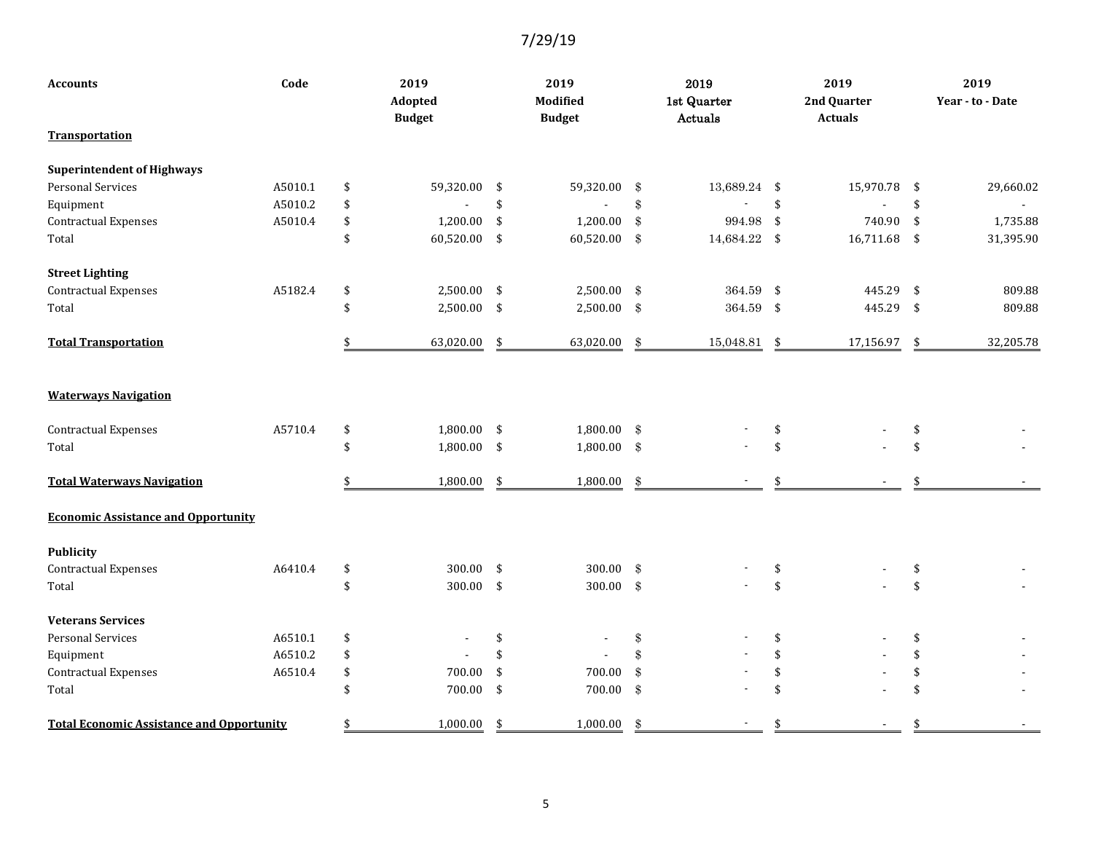| <b>Accounts</b>                                  | Code    | 2019<br>Adopted<br><b>Budget</b> | 2019<br>Modified<br><b>Budget</b> |                            | 2019<br>1st Quarter<br>Actuals |     | 2019<br>2nd Quarter<br><b>Actuals</b> | 2019<br>Year - to - Date |
|--------------------------------------------------|---------|----------------------------------|-----------------------------------|----------------------------|--------------------------------|-----|---------------------------------------|--------------------------|
| <b>Transportation</b>                            |         |                                  |                                   |                            |                                |     |                                       |                          |
| <b>Superintendent of Highways</b>                |         |                                  |                                   |                            |                                |     |                                       |                          |
| <b>Personal Services</b>                         | A5010.1 | \$<br>59,320.00                  | \$<br>59,320.00                   | \$                         | 13,689.24 \$                   |     | 15,970.78                             | \$<br>29,660.02          |
| Equipment                                        | A5010.2 | \$                               | \$<br>$\overline{\phantom{a}}$    | $\$\$                      |                                | \$  |                                       | \$                       |
| <b>Contractual Expenses</b>                      | A5010.4 | \$<br>1,200.00                   | \$<br>1,200.00                    | \$                         | 994.98                         | \$  | 740.90                                | \$<br>1,735.88           |
| Total                                            |         | \$<br>60,520.00                  | \$<br>60,520.00                   | -\$                        | 14,684.22 \$                   |     | 16,711.68                             | \$<br>31,395.90          |
| <b>Street Lighting</b>                           |         |                                  |                                   |                            |                                |     |                                       |                          |
| <b>Contractual Expenses</b>                      | A5182.4 | \$<br>2,500.00                   | \$<br>2,500.00                    | $\frac{3}{2}$              | 364.59 \$                      |     | 445.29                                | \$<br>809.88             |
| Total                                            |         | \$<br>$2,500.00$ \$              | 2,500.00 \$                       |                            | 364.59 \$                      |     | 445.29                                | \$<br>809.88             |
| <b>Total Transportation</b>                      |         | 63,020.00                        | \$<br>63,020.00                   | \$                         | 15,048.81                      | -\$ | 17,156.97                             | \$<br>32,205.78          |
| <b>Waterways Navigation</b>                      |         |                                  |                                   |                            |                                |     |                                       |                          |
| <b>Contractual Expenses</b>                      | A5710.4 | \$<br>1,800.00                   | \$<br>1,800.00                    | -\$                        |                                | \$  |                                       | \$                       |
| Total                                            |         | \$<br>1,800.00 \$                | 1,800.00 \$                       |                            |                                | \$  |                                       | \$                       |
| <b>Total Waterways Navigation</b>                |         | 1,800.00                         | \$<br>1,800.00                    | \$                         |                                |     |                                       | \$                       |
| <b>Economic Assistance and Opportunity</b>       |         |                                  |                                   |                            |                                |     |                                       |                          |
| <b>Publicity</b>                                 |         |                                  |                                   |                            |                                |     |                                       |                          |
| <b>Contractual Expenses</b>                      | A6410.4 | \$<br>300.00                     | \$<br>300.00                      | $\boldsymbol{\mathcal{S}}$ |                                | \$  |                                       | \$                       |
| Total                                            |         | \$<br>300.00                     | \$<br>300.00 $$$                  |                            |                                | \$  |                                       | \$                       |
| <b>Veterans Services</b>                         |         |                                  |                                   |                            |                                |     |                                       |                          |
| <b>Personal Services</b>                         | A6510.1 | \$                               | \$                                | $\,$                       |                                | \$  |                                       | \$                       |
| Equipment                                        | A6510.2 | \$                               | \$                                | \$                         |                                | \$  |                                       | \$                       |
| <b>Contractual Expenses</b>                      | A6510.4 | \$<br>700.00                     | \$<br>700.00                      | $\mathcal{S}$              |                                | \$  |                                       | \$                       |
| Total                                            |         | \$<br>700.00                     | \$<br>700.00                      | $\frac{3}{2}$              |                                | \$  |                                       | \$                       |
| <b>Total Economic Assistance and Opportunity</b> |         | \$<br>1,000.00                   | \$<br>1,000.00                    | \$                         |                                | \$  |                                       | \$                       |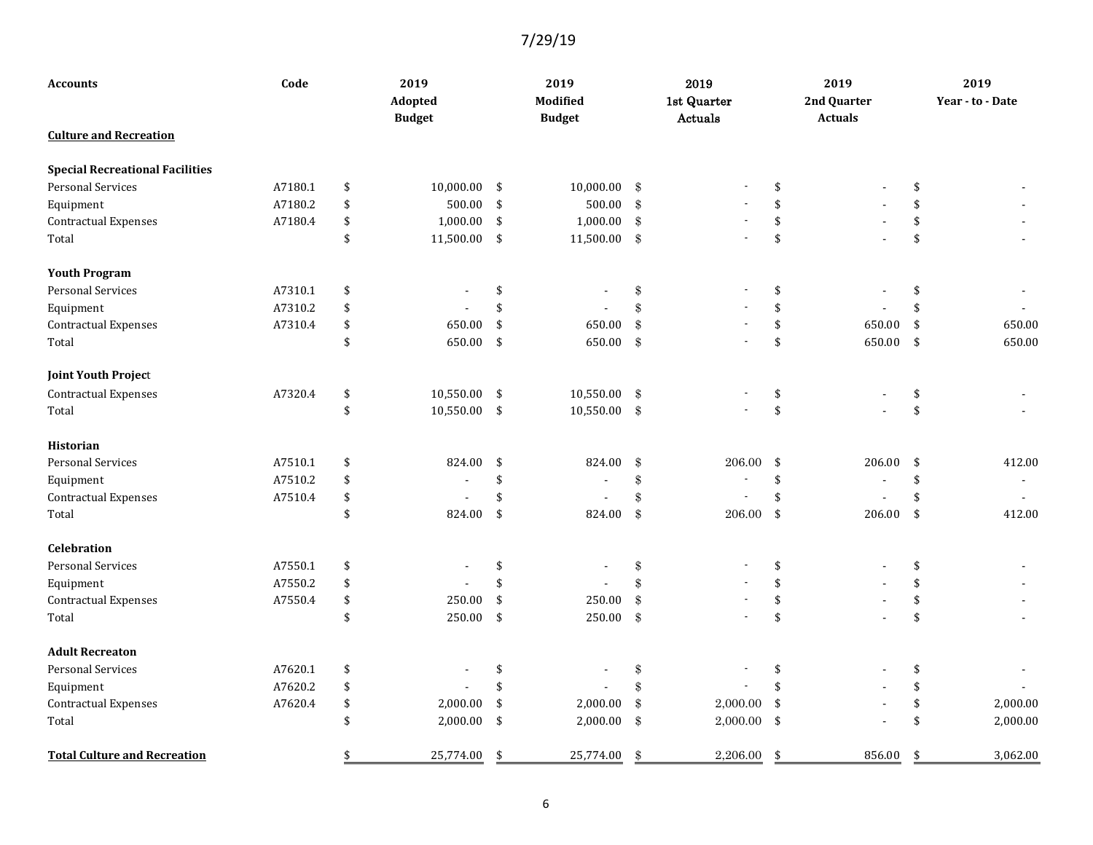| <b>Accounts</b>                        | Code    | 2019<br>Adopted<br><b>Budget</b> | 2019<br>Modified<br><b>Budget</b> |               | 2019<br>1st Quarter<br>Actuals |                     | 2019<br>2nd Quarter<br><b>Actuals</b> |     | 2019<br>Year - to - Date |
|----------------------------------------|---------|----------------------------------|-----------------------------------|---------------|--------------------------------|---------------------|---------------------------------------|-----|--------------------------|
| <b>Culture and Recreation</b>          |         |                                  |                                   |               |                                |                     |                                       |     |                          |
| <b>Special Recreational Facilities</b> |         |                                  |                                   |               |                                |                     |                                       |     |                          |
| <b>Personal Services</b>               | A7180.1 | \$<br>10,000.00                  | \$<br>$10,000.00$ \$              |               |                                | \$                  |                                       | \$  |                          |
| Equipment                              | A7180.2 | \$<br>500.00                     | \$<br>500.00                      | $\frac{3}{2}$ |                                | \$                  |                                       | \$  |                          |
| <b>Contractual Expenses</b>            | A7180.4 | \$<br>1,000.00                   | \$<br>1,000.00                    | $\frac{3}{2}$ |                                | \$                  |                                       | \$  |                          |
| Total                                  |         | \$<br>11,500.00                  | \$<br>11,500.00 \$                |               |                                | \$                  |                                       | \$  |                          |
| <b>Youth Program</b>                   |         |                                  |                                   |               |                                |                     |                                       |     |                          |
| <b>Personal Services</b>               | A7310.1 | \$                               | \$                                | \$            |                                | \$                  |                                       | \$  |                          |
| Equipment                              | A7310.2 | \$                               | \$                                | $\mathcal{S}$ |                                | \$                  |                                       | \$  |                          |
| <b>Contractual Expenses</b>            | A7310.4 | \$<br>650.00                     | \$<br>650.00                      | $\mathbf{\$}$ |                                | \$                  | 650.00                                | \$  | 650.00                   |
| Total                                  |         | \$<br>650.00                     | \$<br>650.00 \$                   |               |                                | \$                  | 650.00                                | -\$ | 650.00                   |
| <b>Joint Youth Project</b>             |         |                                  |                                   |               |                                |                     |                                       |     |                          |
| <b>Contractual Expenses</b>            | A7320.4 | \$<br>10,550.00                  | \$<br>10,550.00 \$                |               |                                | \$                  |                                       | \$  |                          |
| Total                                  |         | \$<br>10,550.00 \$               | 10,550.00 \$                      |               |                                | $\pmb{\mathsf{\$}}$ |                                       | \$  |                          |
| <b>Historian</b>                       |         |                                  |                                   |               |                                |                     |                                       |     |                          |
| <b>Personal Services</b>               | A7510.1 | \$<br>824.00                     | \$<br>824.00                      | \$            | 206.00                         | \$                  | 206.00                                | \$  | 412.00                   |
| Equipment                              | A7510.2 | \$                               | \$                                | $\$\$         |                                | \$                  | $\blacksquare$                        | \$  |                          |
| <b>Contractual Expenses</b>            | A7510.4 | \$                               | \$                                | $\mathbf{\$}$ |                                | \$                  |                                       | \$  |                          |
| Total                                  |         | \$<br>824.00                     | \$<br>824.00                      | $\$\$         | 206.00                         | \$                  | 206.00                                | \$  | 412.00                   |
| <b>Celebration</b>                     |         |                                  |                                   |               |                                |                     |                                       |     |                          |
| <b>Personal Services</b>               | A7550.1 | \$                               | \$                                | \$            |                                | \$                  |                                       | \$  |                          |
| Equipment                              | A7550.2 | \$                               | \$                                | \$            |                                | \$                  |                                       | \$  |                          |
| <b>Contractual Expenses</b>            | A7550.4 | \$<br>250.00                     | \$<br>250.00                      | \$            |                                | \$                  |                                       | \$  |                          |
| Total                                  |         | \$<br>250.00                     | \$<br>250.00 \$                   |               |                                | \$                  |                                       | \$  |                          |
| <b>Adult Recreaton</b>                 |         |                                  |                                   |               |                                |                     |                                       |     |                          |
| <b>Personal Services</b>               | A7620.1 | \$                               | \$                                | \$            |                                | \$                  |                                       | \$  |                          |
| Equipment                              | A7620.2 | \$                               | \$                                | \$            |                                | \$                  |                                       | \$  |                          |
| <b>Contractual Expenses</b>            | A7620.4 | \$<br>2,000.00                   | \$<br>2,000.00                    | $\$\$         | 2,000.00                       | \$                  |                                       | \$  | 2,000.00                 |
| Total                                  |         | \$<br>2,000.00                   | \$<br>2,000.00                    | $\frac{3}{2}$ | 2,000.00                       | \$                  |                                       | \$  | 2,000.00                 |
| <b>Total Culture and Recreation</b>    |         | \$<br>25,774.00                  | \$<br>25,774.00                   | \$            | 2,206.00                       | \$                  | 856.00                                | \$  | 3,062.00                 |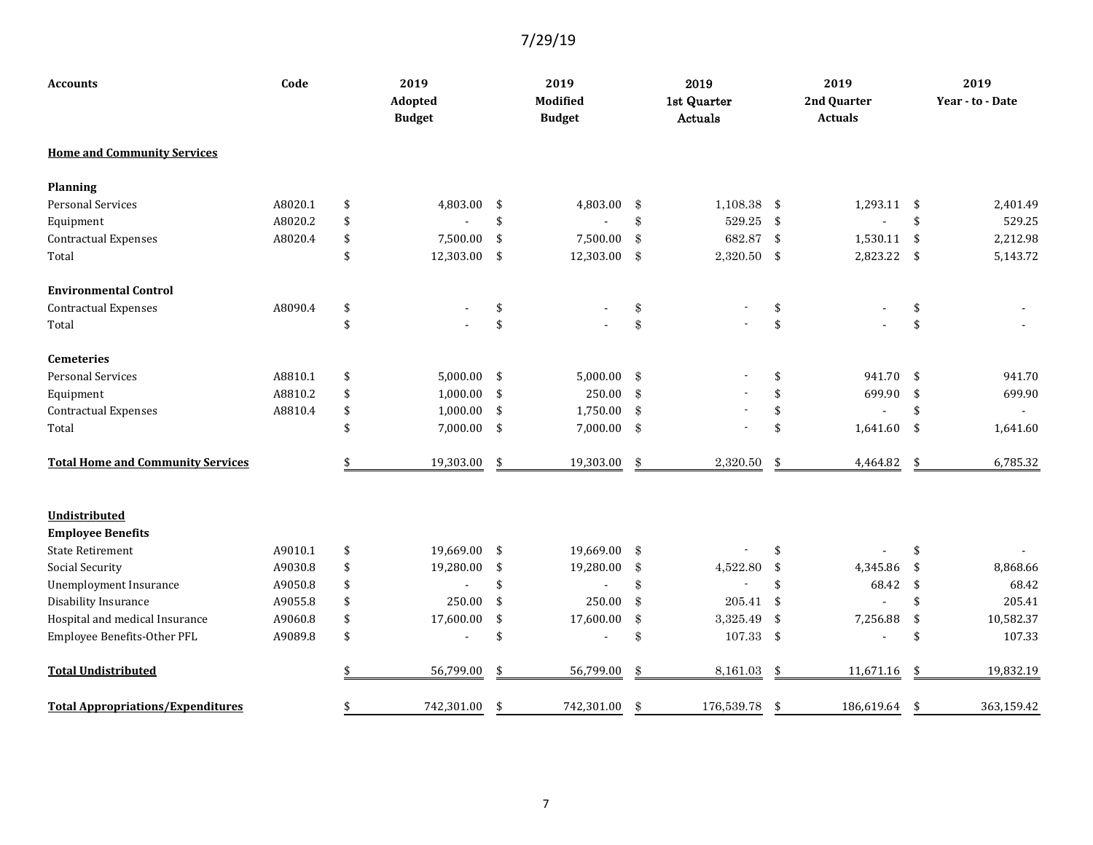| Code<br><b>Accounts</b>                   |         | 2019<br>Adopted<br><b>Budget</b> |            | 2019<br>Modified<br><b>Budget</b> |              |               | 2019<br>1st Quarter<br>Actuals |                    | 2019<br>2nd Quarter<br><b>Actuals</b> | 2019<br>Year - to - Date |
|-------------------------------------------|---------|----------------------------------|------------|-----------------------------------|--------------|---------------|--------------------------------|--------------------|---------------------------------------|--------------------------|
| <b>Home and Community Services</b>        |         |                                  |            |                                   |              |               |                                |                    |                                       |                          |
| <b>Planning</b>                           |         |                                  |            |                                   |              |               |                                |                    |                                       |                          |
| <b>Personal Services</b>                  | A8020.1 | \$                               | 4,803.00   | \$                                | 4,803.00     | $\mathbf{\$}$ | 1,108.38                       | -\$                | 1,293.11                              | \$<br>2,401.49           |
| Equipment                                 | A8020.2 | \$                               |            | \$                                |              | \$            | 529.25                         | $\mathbf{\hat{S}}$ |                                       | \$<br>529.25             |
| <b>Contractual Expenses</b>               | A8020.4 | $\sqrt[6]{3}$                    | 7,500.00   | \$                                | 7,500.00     | $\mathbf{\$}$ | 682.87                         | $\mathbf{\hat{S}}$ | 1,530.11                              | \$<br>2,212.98           |
| Total                                     |         | \$                               | 12,303.00  | \$                                | 12,303.00 \$ |               | 2,320.50 \$                    |                    | 2,823.22                              | \$<br>5,143.72           |
| <b>Environmental Control</b>              |         |                                  |            |                                   |              |               |                                |                    |                                       |                          |
| <b>Contractual Expenses</b>               | A8090.4 | \$                               |            | \$                                |              | \$            |                                | \$                 |                                       | \$                       |
| Total                                     |         | \$                               |            | \$                                |              | \$            |                                | \$                 |                                       | \$                       |
| <b>Cemeteries</b>                         |         |                                  |            |                                   |              |               |                                |                    |                                       |                          |
| <b>Personal Services</b>                  | A8810.1 | $\sqrt[6]{3}$                    | 5,000.00   | \$                                | 5,000.00     | $\mathbf{\$}$ |                                | \$                 | 941.70                                | \$<br>941.70             |
| Equipment                                 | A8810.2 | \$                               | 1,000.00   | \$                                | 250.00       | $\mathbf{\$}$ |                                | \$                 | 699.90                                | \$<br>699.90             |
| <b>Contractual Expenses</b>               | A8810.4 | $\sqrt[6]{3}$                    | 1,000.00   | \$                                | 1,750.00     | $\mathbf{\$}$ |                                | \$                 |                                       | \$                       |
| Total                                     |         | \$                               | 7,000.00   | \$                                | 7,000.00 \$  |               |                                | \$                 | 1,641.60                              | \$<br>1,641.60           |
| <b>Total Home and Community Services</b>  |         |                                  | 19,303.00  | \$                                | 19,303.00    | \$            | 2,320.50                       | \$                 | 4,464.82                              | \$<br>6,785.32           |
| Undistributed<br><b>Employee Benefits</b> |         |                                  |            |                                   |              |               |                                |                    |                                       |                          |
| <b>State Retirement</b>                   | A9010.1 | \$                               | 19,669.00  | \$                                | 19,669.00    | $\mathbf{\$}$ |                                | \$                 |                                       | \$                       |
| Social Security                           | A9030.8 | \$                               | 19,280.00  | \$                                | 19,280.00    | \$            | 4,522.80                       | \$                 | 4,345.86                              | \$<br>8,868.66           |
| Unemployment Insurance                    | A9050.8 | \$                               |            | \$                                |              | \$            |                                | \$                 | 68.42                                 | \$<br>68.42              |
| Disability Insurance                      | A9055.8 | \$                               | 250.00     | \$                                | 250.00       | $\mathbf{\$}$ | 205.41                         | $\mathbf{\hat{S}}$ |                                       | \$<br>205.41             |
| Hospital and medical Insurance            | A9060.8 | \$                               | 17,600.00  | \$                                | 17,600.00    | $\$\$         | 3,325.49                       | \$                 | 7,256.88                              | \$<br>10,582.37          |
| Employee Benefits-Other PFL               | A9089.8 | \$                               |            | \$                                |              | \$            | $107.33$ \$                    |                    |                                       | \$<br>107.33             |
| <b>Total Undistributed</b>                |         |                                  | 56,799.00  | \$                                | 56,799.00    | \$            | 8,161.03                       | \$                 | 11,671.16                             | \$<br>19,832.19          |
| <b>Total Appropriations/Expenditures</b>  |         |                                  | 742,301.00 | \$                                | 742,301.00   | \$            | 176,539.78                     | \$                 | 186,619.64                            | \$<br>363,159.42         |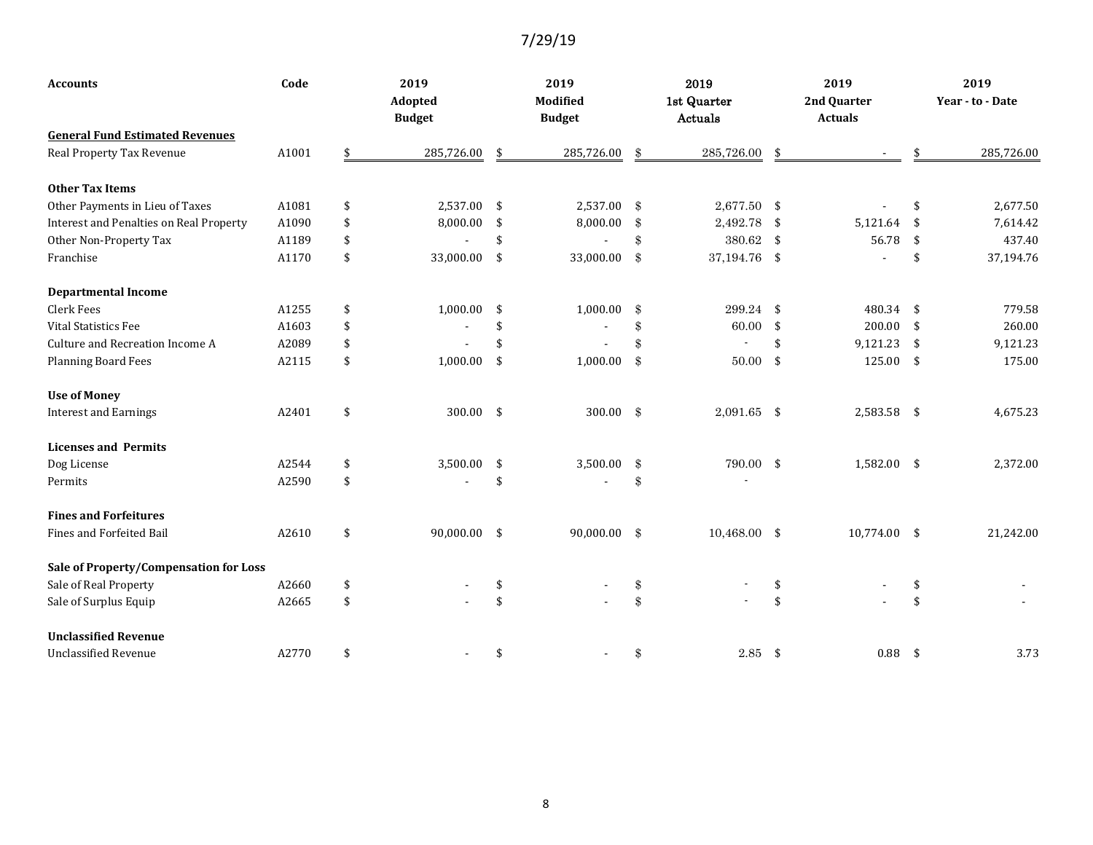| <b>Accounts</b>                         | Code  | 2019                     |     | 2019                      |                     | 2019                   | 2019                          |     | 2019             |
|-----------------------------------------|-------|--------------------------|-----|---------------------------|---------------------|------------------------|-------------------------------|-----|------------------|
|                                         |       | Adopted<br><b>Budget</b> |     | Modified<br><b>Budget</b> |                     | 1st Quarter<br>Actuals | 2nd Quarter<br><b>Actuals</b> |     | Year - to - Date |
| <b>General Fund Estimated Revenues</b>  |       |                          |     |                           |                     |                        |                               |     |                  |
| Real Property Tax Revenue               | A1001 | 285,726.00               | \$  | 285,726.00                | $\mathbf{\$}$       | 285,726.00             |                               |     | 285,726.00       |
| <b>Other Tax Items</b>                  |       |                          |     |                           |                     |                        |                               |     |                  |
| Other Payments in Lieu of Taxes         | A1081 | \$<br>2,537.00           | -\$ | 2,537.00                  | $\pmb{\mathcal{S}}$ | 2,677.50 \$            |                               | \$  | 2,677.50         |
| Interest and Penalties on Real Property | A1090 | \$<br>8,000.00           | \$  | 8,000.00                  | \$                  | $2,492.78$ \$          | 5,121.64                      | \$  | 7,614.42         |
| Other Non-Property Tax                  | A1189 | \$                       | \$  |                           | \$                  | 380.62 \$              | 56.78                         | \$  | 437.40           |
| Franchise                               | A1170 | \$<br>33,000.00          | \$  | 33,000.00                 | $\pmb{\mathcal{S}}$ | 37,194.76 \$           |                               | \$  | 37,194.76        |
| <b>Departmental Income</b>              |       |                          |     |                           |                     |                        |                               |     |                  |
| Clerk Fees                              | A1255 | \$<br>1,000.00           | \$  | 1,000.00                  | \$                  | 299.24 \$              | 480.34                        | \$  | 779.58           |
| <b>Vital Statistics Fee</b>             | A1603 | \$                       | \$  |                           | \$                  | 60.00                  | \$<br>200.00                  | \$  | 260.00           |
| Culture and Recreation Income A         | A2089 | \$                       | \$  |                           | \$                  |                        | \$<br>9,121.23                | \$  | 9,121.23         |
| <b>Planning Board Fees</b>              | A2115 | \$<br>1,000.00           | \$  | 1,000.00                  | $\$\$               | $50.00*$               | 125.00                        | \$  | 175.00           |
| <b>Use of Money</b>                     |       |                          |     |                           |                     |                        |                               |     |                  |
| <b>Interest and Earnings</b>            | A2401 | \$<br>$300.00$ \$        |     | 300.00                    | $\sqrt[3]{3}$       | $2,091.65$ \$          | 2,583.58                      | -\$ | 4,675.23         |
| <b>Licenses and Permits</b>             |       |                          |     |                           |                     |                        |                               |     |                  |
| Dog License                             | A2544 | \$<br>3,500.00           | -\$ | 3,500.00                  | \$                  | 790.00 \$              | 1,582.00                      | -\$ | 2,372.00         |
| Permits                                 | A2590 | \$                       | \$  |                           | \$                  |                        |                               |     |                  |
| <b>Fines and Forfeitures</b>            |       |                          |     |                           |                     |                        |                               |     |                  |
| Fines and Forfeited Bail                | A2610 | \$<br>90,000.00 \$       |     | 90,000.00                 | $\$\$               | $10,468.00$ \$         | 10,774.00                     | \$  | 21,242.00        |
| Sale of Property/Compensation for Loss  |       |                          |     |                           |                     |                        |                               |     |                  |
| Sale of Real Property                   | A2660 | \$                       | \$  |                           | \$                  |                        |                               | \$  |                  |
| Sale of Surplus Equip                   | A2665 | \$                       | \$  |                           | \$                  |                        |                               | \$  |                  |
| <b>Unclassified Revenue</b>             |       |                          |     |                           |                     |                        |                               |     |                  |
| <b>Unclassified Revenue</b>             | A2770 | \$                       | \$  |                           | \$                  | $2.85$ \$              | 0.88                          | \$  | 3.73             |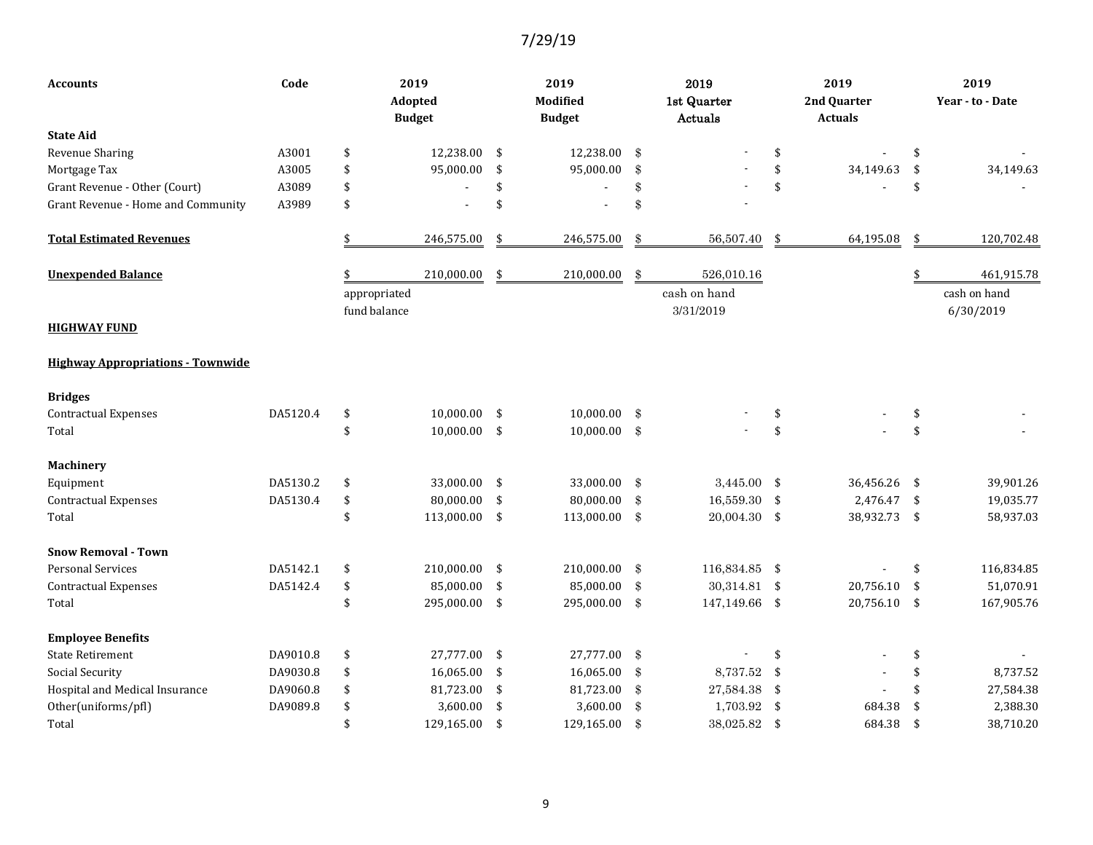| <b>Accounts</b>                          | Code     | 2019<br>Adopted<br><b>Budget</b> |                | 2019<br><b>Modified</b><br><b>Budget</b> |                |               | 2019<br>1st Quarter<br>Actuals |            | 2019<br>2nd Quarter<br><b>Actuals</b> | 2019<br>Year - to - Date  |
|------------------------------------------|----------|----------------------------------|----------------|------------------------------------------|----------------|---------------|--------------------------------|------------|---------------------------------------|---------------------------|
| <b>State Aid</b>                         |          |                                  |                |                                          |                |               |                                |            |                                       |                           |
| Revenue Sharing                          | A3001    | \$                               | 12,238.00      | \$                                       | 12,238.00      | \$            |                                | \$         |                                       | \$                        |
| Mortgage Tax                             | A3005    | \$                               | 95,000.00      | \$                                       | 95,000.00      | $\frac{1}{2}$ |                                | \$         | 34,149.63                             | \$<br>34,149.63           |
| Grant Revenue - Other (Court)            | A3089    | \$                               |                | \$                                       |                | \$            |                                | \$         |                                       | \$                        |
| Grant Revenue - Home and Community       | A3989    | \$                               |                | \$                                       |                | \$            |                                |            |                                       |                           |
| <b>Total Estimated Revenues</b>          |          |                                  | 246,575.00     | \$                                       | 246,575.00     | \$            | 56,507.40                      | \$         | 64,195.08                             | \$<br>120,702.48          |
| <b>Unexpended Balance</b>                |          |                                  | 210,000.00     | \$                                       | 210,000.00     | \$            | 526,010.16                     |            |                                       | 461,915.78                |
| <b>HIGHWAY FUND</b>                      |          | appropriated<br>fund balance     |                |                                          |                |               | cash on hand<br>3/31/2019      |            |                                       | cash on hand<br>6/30/2019 |
| <b>Highway Appropriations - Townwide</b> |          |                                  |                |                                          |                |               |                                |            |                                       |                           |
| <b>Bridges</b>                           |          |                                  |                |                                          |                |               |                                |            |                                       |                           |
| <b>Contractual Expenses</b>              | DA5120.4 | \$                               | 10,000.00      | \$                                       | 10,000.00      | \$            |                                | \$         |                                       | \$                        |
| Total                                    |          | \$                               | $10,000.00$ \$ |                                          | $10,000.00$ \$ |               |                                | \$         |                                       | \$                        |
| Machinery                                |          |                                  |                |                                          |                |               |                                |            |                                       |                           |
| Equipment                                | DA5130.2 | \$                               | 33,000.00      | \$                                       | 33,000.00      | $\sqrt[3]{3}$ | 3,445.00                       | \$         | 36,456.26                             | \$<br>39,901.26           |
| <b>Contractual Expenses</b>              | DA5130.4 | \$                               | 80,000.00      | \$                                       | 80,000.00      | $\sqrt[3]{3}$ | 16,559.30                      | $\sqrt{2}$ | 2,476.47                              | \$<br>19,035.77           |
| Total                                    |          | \$                               | 113,000.00 \$  |                                          | 113,000.00 \$  |               | $20,004.30$ \$                 |            | 38,932.73                             | \$<br>58,937.03           |
| <b>Snow Removal - Town</b>               |          |                                  |                |                                          |                |               |                                |            |                                       |                           |
| <b>Personal Services</b>                 | DA5142.1 | \$                               | 210,000.00     | \$                                       | 210,000.00     | $\$\$         | 116,834.85 \$                  |            |                                       | \$<br>116,834.85          |
| <b>Contractual Expenses</b>              | DA5142.4 | \$                               | 85,000.00      | \$                                       | 85,000.00      | $\mathbf{\$}$ | 30,314.81 \$                   |            | 20,756.10                             | \$<br>51,070.91           |
| Total                                    |          | \$                               | 295,000.00     | \$                                       | 295,000.00     | $\frac{1}{2}$ | 147,149.66 \$                  |            | 20,756.10                             | \$<br>167,905.76          |
| <b>Employee Benefits</b>                 |          |                                  |                |                                          |                |               |                                |            |                                       |                           |
| <b>State Retirement</b>                  | DA9010.8 | \$                               | 27,777.00 \$   |                                          | 27,777.00      | \$            |                                | \$         |                                       | \$                        |
| <b>Social Security</b>                   | DA9030.8 | \$                               | 16,065.00      | \$                                       | 16,065.00      | $\$\$         | 8,737.52                       | \$         |                                       | \$<br>8,737.52            |
| Hospital and Medical Insurance           | DA9060.8 | \$                               | 81,723.00      | \$                                       | 81,723.00      | $\sqrt[3]{3}$ | 27,584.38                      | \$         |                                       | \$<br>27,584.38           |
| Other(uniforms/pfl)                      | DA9089.8 | \$                               | 3,600.00       | \$                                       | 3,600.00       | $\mathbf{\$}$ | 1,703.92                       | \$         | 684.38                                | \$<br>2,388.30            |
| Total                                    |          | \$                               | 129,165.00     | -\$                                      | 129,165.00     | $\$\$         | 38,025.82 \$                   |            | 684.38                                | \$<br>38,710.20           |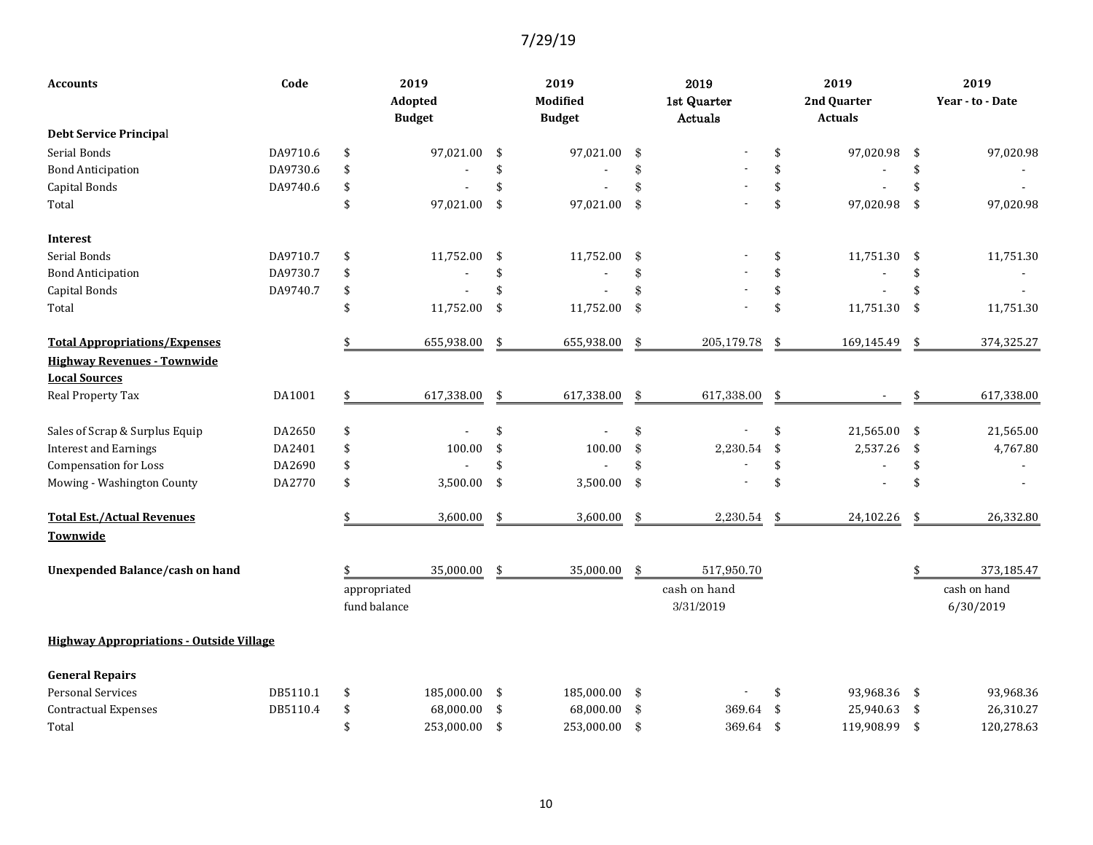| <b>Accounts</b>                                 | Code     | 2019<br>Adopted<br><b>Budget</b> |            | 2019<br>Modified<br><b>Budget</b> |                            | 2019<br>1st Quarter<br>Actuals |                    | 2019<br>2nd Quarter<br><b>Actuals</b> | 2019<br>Year - to - Date |
|-------------------------------------------------|----------|----------------------------------|------------|-----------------------------------|----------------------------|--------------------------------|--------------------|---------------------------------------|--------------------------|
| <b>Debt Service Principal</b>                   |          |                                  |            |                                   |                            |                                |                    |                                       |                          |
| Serial Bonds                                    | DA9710.6 | \$                               | 97,021.00  | \$<br>97,021.00                   | \$                         |                                | \$                 | 97,020.98                             | \$<br>97,020.98          |
| <b>Bond Anticipation</b>                        | DA9730.6 | \$                               |            | \$                                | \$                         |                                | \$                 |                                       | \$                       |
| Capital Bonds                                   | DA9740.6 | \$                               |            | \$                                | \$                         |                                | \$                 |                                       | \$                       |
| Total                                           |          | \$                               | 97,021.00  | \$<br>97,021.00                   | $\pmb{\$}$                 |                                | $\mathbf{\hat{S}}$ | 97,020.98                             | \$<br>97,020.98          |
| <b>Interest</b>                                 |          |                                  |            |                                   |                            |                                |                    |                                       |                          |
| Serial Bonds                                    | DA9710.7 | \$                               | 11,752.00  | \$<br>11,752.00                   | \$                         |                                | \$                 | 11,751.30                             | \$<br>11,751.30          |
| <b>Bond Anticipation</b>                        | DA9730.7 | \$                               |            | \$                                | \$                         |                                | \$                 |                                       | \$                       |
| Capital Bonds                                   | DA9740.7 | \$                               |            | \$                                | \$                         |                                | \$                 |                                       | \$                       |
| Total                                           |          | $\mathbf{\hat{S}}$               | 11,752.00  | \$<br>11,752.00                   | $\pmb{\$}$                 |                                | \$                 | 11,751.30                             | \$<br>11,751.30          |
| <b>Total Appropriations/Expenses</b>            |          |                                  | 655,938.00 | \$<br>655,938.00                  | \$                         | 205,179.78                     | \$                 | 169,145.49                            | \$<br>374,325.27         |
| <b>Highway Revenues - Townwide</b>              |          |                                  |            |                                   |                            |                                |                    |                                       |                          |
| <b>Local Sources</b>                            |          |                                  |            |                                   |                            |                                |                    |                                       |                          |
| Real Property Tax                               | DA1001   |                                  | 617,338.00 | \$<br>617,338.00                  | \$                         | 617,338.00                     | \$                 |                                       | 617,338.00               |
| Sales of Scrap & Surplus Equip                  | DA2650   | \$                               |            | \$                                | \$                         |                                | \$                 | 21,565.00                             | \$<br>21,565.00          |
| <b>Interest and Earnings</b>                    | DA2401   | \$                               | 100.00     | \$<br>100.00                      | \$                         | 2,230.54                       | \$                 | 2,537.26                              | \$<br>4,767.80           |
| <b>Compensation for Loss</b>                    | DA2690   | \$                               |            | \$                                | \$                         |                                | \$                 |                                       | \$                       |
| Mowing - Washington County                      | DA2770   | \$                               | 3,500.00   | \$<br>3,500.00                    | \$                         |                                | $\mathbf{\hat{S}}$ |                                       | \$                       |
| <b>Total Est./Actual Revenues</b><br>Townwide   |          |                                  | 3,600.00   | \$<br>3,600.00                    | \$                         | 2,230.54                       | \$                 | 24,102.26                             | \$<br>26,332.80          |
| Unexpended Balance/cash on hand                 |          |                                  | 35,000.00  | \$<br>35,000.00                   | \$                         | 517,950.70                     |                    |                                       | 373,185.47               |
|                                                 |          | appropriated                     |            |                                   |                            | cash on hand                   |                    |                                       | cash on hand             |
|                                                 |          | fund balance                     |            |                                   |                            | 3/31/2019                      |                    |                                       | 6/30/2019                |
| <b>Highway Appropriations - Outside Village</b> |          |                                  |            |                                   |                            |                                |                    |                                       |                          |
| <b>General Repairs</b>                          |          |                                  |            |                                   |                            |                                |                    |                                       |                          |
| <b>Personal Services</b>                        | DB5110.1 | \$                               | 185,000.00 | \$<br>185,000.00                  | \$                         |                                | \$                 | 93,968.36                             | \$<br>93,968.36          |
| <b>Contractual Expenses</b>                     | DB5110.4 | \$                               | 68,000.00  | \$<br>68,000.00                   | $\boldsymbol{\mathcal{S}}$ | 369.64                         | \$                 | 25,940.63                             | \$<br>26,310.27          |
| Total                                           |          | \$                               | 253,000.00 | \$<br>253,000.00                  | \$                         | 369.64                         | $\mathbf{\hat{S}}$ | 119,908.99                            | \$<br>120,278.63         |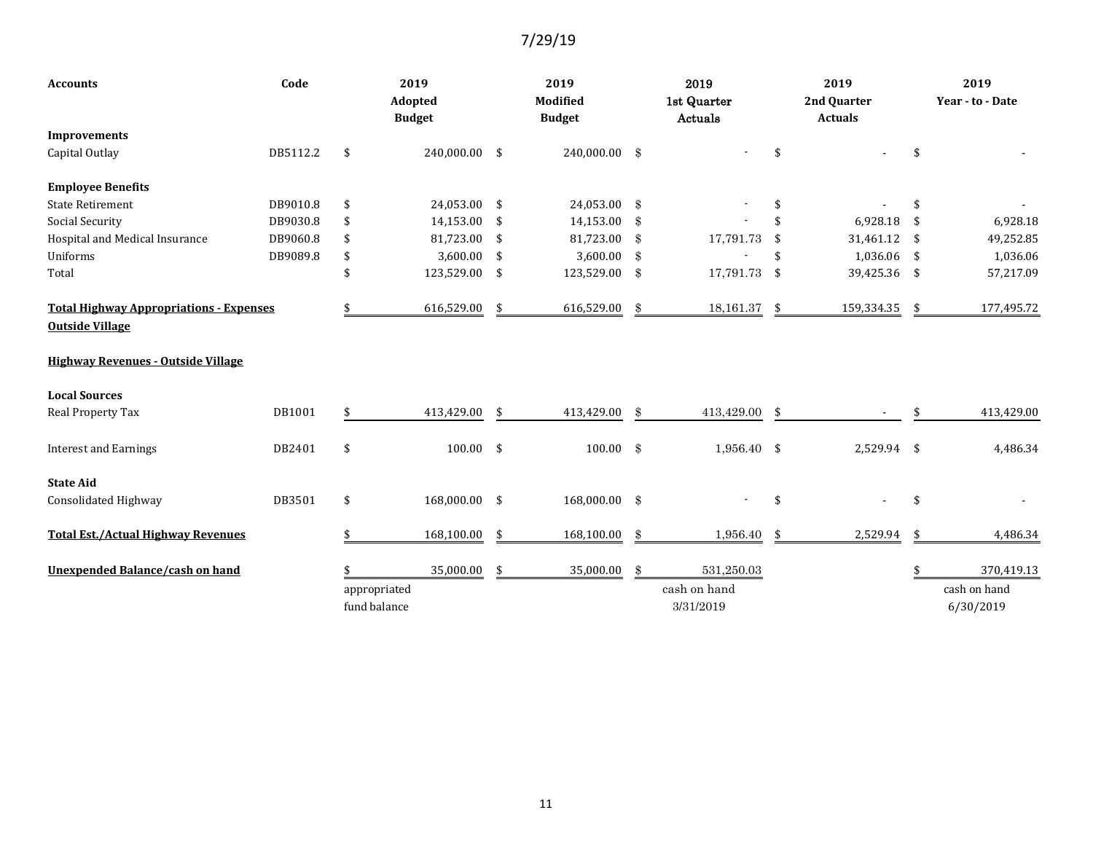| Code<br><b>Accounts</b>                                                  |          |                              | 2019<br>Adopted<br><b>Budget</b> |     | 2019<br>Modified<br><b>Budget</b> |               | 2019<br>1st Quarter<br>Actuals |     | 2019<br>2nd Quarter<br><b>Actuals</b> | 2019<br>Year - to - Date  |
|--------------------------------------------------------------------------|----------|------------------------------|----------------------------------|-----|-----------------------------------|---------------|--------------------------------|-----|---------------------------------------|---------------------------|
| <b>Improvements</b>                                                      |          |                              |                                  |     |                                   |               |                                |     |                                       |                           |
| Capital Outlay                                                           | DB5112.2 | \$                           | 240,000.00 \$                    |     | 240,000.00 \$                     |               |                                | \$  |                                       | \$                        |
| <b>Employee Benefits</b>                                                 |          |                              |                                  |     |                                   |               |                                |     |                                       |                           |
| <b>State Retirement</b>                                                  | DB9010.8 | \$                           | 24,053.00 \$                     |     | 24,053.00 \$                      |               |                                | \$  |                                       | \$                        |
| <b>Social Security</b>                                                   | DB9030.8 | \$                           | 14,153.00                        | \$  | 14,153.00                         | $\mathbf{\$}$ |                                | \$  | 6,928.18                              | \$<br>6,928.18            |
| Hospital and Medical Insurance                                           | DB9060.8 | \$                           | 81,723.00                        | \$  | 81,723.00                         | -\$           | 17,791.73                      | \$  | 31,461.12                             | \$<br>49,252.85           |
| Uniforms                                                                 | DB9089.8 | \$                           | 3,600.00                         | \$  | 3,600.00                          | $\mathbf{\$}$ |                                | \$  | 1,036.06                              | \$<br>1,036.06            |
| Total                                                                    |          | \$                           | 123,529.00                       | -\$ | 123,529.00 \$                     |               | 17,791.73                      | -\$ | 39,425.36                             | \$<br>57,217.09           |
| <b>Total Highway Appropriations - Expenses</b><br><b>Outside Village</b> |          |                              | 616,529.00                       | \$  | 616,529.00                        | \$            | 18,161.37                      | \$  | 159,334.35                            | \$<br>177,495.72          |
| <b>Highway Revenues - Outside Village</b>                                |          |                              |                                  |     |                                   |               |                                |     |                                       |                           |
| <b>Local Sources</b>                                                     |          |                              |                                  |     |                                   |               |                                |     |                                       |                           |
| Real Property Tax                                                        | DB1001   | \$                           | 413,429.00                       | \$  | 413,429.00                        | \$            | 413,429.00                     | \$  |                                       | 413,429.00                |
| <b>Interest and Earnings</b>                                             | DB2401   | \$                           | $100.00$ \$                      |     | $100.00$ \$                       |               | $1,956.40$ \$                  |     | 2,529.94 \$                           | 4,486.34                  |
| <b>State Aid</b>                                                         |          |                              |                                  |     |                                   |               |                                |     |                                       |                           |
| Consolidated Highway                                                     | DB3501   | \$                           | 168,000.00 \$                    |     | 168,000.00 \$                     |               |                                | \$  |                                       | \$                        |
| <b>Total Est./Actual Highway Revenues</b>                                |          |                              | 168,100.00                       | \$  | 168,100.00                        | \$            | 1,956.40                       | \$  | 2,529.94                              | \$<br>4,486.34            |
| <b>Unexpended Balance/cash on hand</b>                                   |          |                              | 35,000.00                        | \$  | 35,000.00                         | \$            | 531,250.03                     |     |                                       | \$<br>370,419.13          |
|                                                                          |          | appropriated<br>fund balance |                                  |     |                                   |               | cash on hand<br>3/31/2019      |     |                                       | cash on hand<br>6/30/2019 |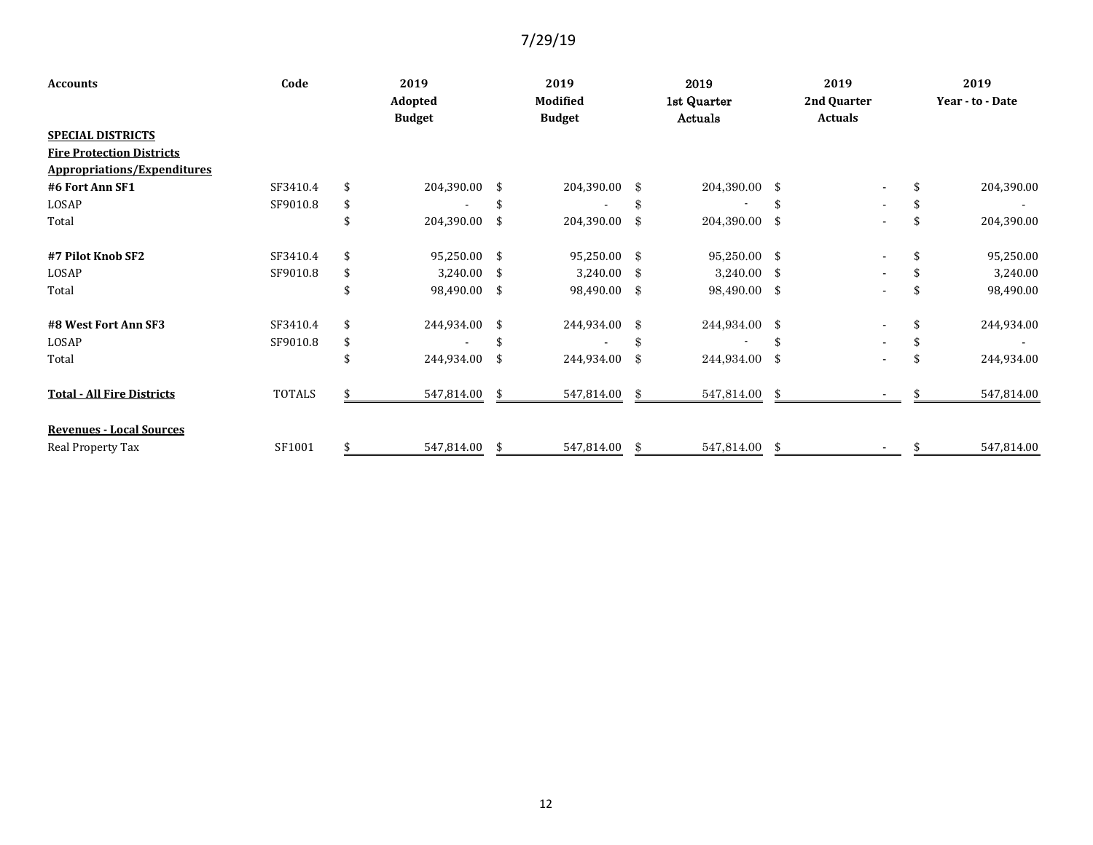| <b>Accounts</b>                    | Code<br>2019 |    |                          | 2019 |                           |               | 2019                   | 2019 | 2019                          |                  |
|------------------------------------|--------------|----|--------------------------|------|---------------------------|---------------|------------------------|------|-------------------------------|------------------|
|                                    |              |    | Adopted<br><b>Budget</b> |      | Modified<br><b>Budget</b> |               | 1st Quarter<br>Actuals |      | 2nd Quarter<br><b>Actuals</b> | Year - to - Date |
| <b>SPECIAL DISTRICTS</b>           |              |    |                          |      |                           |               |                        |      |                               |                  |
| <b>Fire Protection Districts</b>   |              |    |                          |      |                           |               |                        |      |                               |                  |
| <b>Appropriations/Expenditures</b> |              |    |                          |      |                           |               |                        |      |                               |                  |
| #6 Fort Ann SF1                    | SF3410.4     | \$ | 204,390.00 \$            |      | 204,390.00                | - \$          | 204,390.00 \$          |      |                               | 204,390.00       |
| LOSAP                              | SF9010.8     | \$ |                          |      |                           | \$            |                        |      | $\sim$                        |                  |
| Total                              |              | \$ | 204,390.00               | -\$  | 204,390.00                | $\mathbf{\$}$ | 204,390.00 \$          |      | $\blacksquare$                | 204,390.00       |
| #7 Pilot Knob SF2                  | SF3410.4     | \$ | 95,250.00 \$             |      | 95,250.00 \$              |               | 95,250.00 \$           |      |                               | \$<br>95,250.00  |
| LOSAP                              | SF9010.8     | \$ | 3,240.00                 | -\$  | 3,240.00                  | - \$          | $3,240.00$ \$          |      |                               | 3,240.00         |
| Total                              |              | \$ | 98,490.00 \$             |      | 98,490.00                 | -\$           | 98,490.00 \$           |      |                               | 98,490.00        |
| #8 West Fort Ann SF3               | SF3410.4     | \$ | 244,934.00               | \$   | 244,934.00                | -\$           | 244,934.00 \$          |      |                               | 244,934.00       |
| LOSAP                              | SF9010.8     | \$ |                          |      |                           | \$            |                        |      |                               |                  |
| Total                              |              | \$ | 244,934.00               | \$   | 244,934.00                | \$            | 244,934.00             | \$   |                               | 244,934.00       |
| <b>Total - All Fire Districts</b>  | TOTALS       |    | 547,814.00               |      | 547,814.00                | -\$           | 547,814.00             | - \$ |                               | 547,814.00       |
| <b>Revenues - Local Sources</b>    |              |    |                          |      |                           |               |                        |      |                               |                  |
| Real Property Tax                  | SF1001       | \$ | 547,814.00               | -\$  | 547,814.00                | \$            | 547,814.00             | \$   |                               | 547,814.00       |